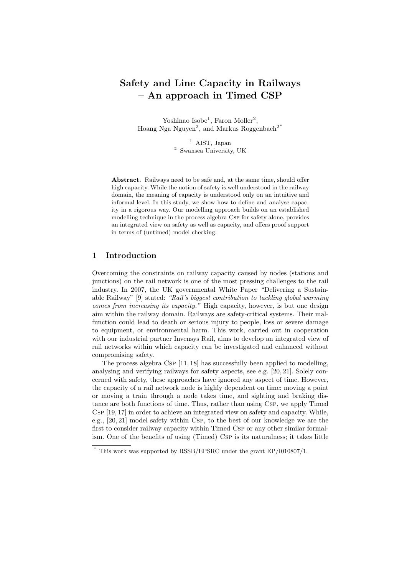# Safety and Line Capacity in Railways – An approach in Timed CSP

Yoshinao Isobe<sup>1</sup>, Faron Moller<sup>2</sup>, Hoang Nga Nguyen<sup>2</sup>, and Markus Roggenbach<sup>2\*</sup>

> <sup>1</sup> AIST, Japan <sup>2</sup> Swansea University, UK

Abstract. Railways need to be safe and, at the same time, should offer high capacity. While the notion of safety is well understood in the railway domain, the meaning of capacity is understood only on an intuitive and informal level. In this study, we show how to define and analyse capacity in a rigorous way. Our modelling approach builds on an established modelling technique in the process algebra Csp for safety alone, provides an integrated view on safety as well as capacity, and offers proof support in terms of (untimed) model checking.

# 1 Introduction

∗

Overcoming the constraints on railway capacity caused by nodes (stations and junctions) on the rail network is one of the most pressing challenges to the rail industry. In 2007, the UK governmental White Paper "Delivering a Sustainable Railway" [9] stated: "Rail's biggest contribution to tackling global warming comes from increasing its capacity." High capacity, however, is but one design aim within the railway domain. Railways are safety-critical systems. Their malfunction could lead to death or serious injury to people, loss or severe damage to equipment, or environmental harm. This work, carried out in cooperation with our industrial partner Invensys Rail, aims to develop an integrated view of rail networks within which capacity can be investigated and enhanced without compromising safety.

The process algebra  $CSP$  [11, 18] has successfully been applied to modelling, analysing and verifying railways for safety aspects, see e.g. [20, 21]. Solely concerned with safety, these approaches have ignored any aspect of time. However, the capacity of a rail network node is highly dependent on time: moving a point or moving a train through a node takes time, and sighting and braking distance are both functions of time. Thus, rather than using Csp, we apply Timed Csp [19, 17] in order to achieve an integrated view on safety and capacity. While, e.g., [20, 21] model safety within Csp, to the best of our knowledge we are the first to consider railway capacity within Timed Csp or any other similar formalism. One of the benefits of using (Timed) Csp is its naturalness; it takes little

This work was supported by RSSB/EPSRC under the grant EP/I010807/1.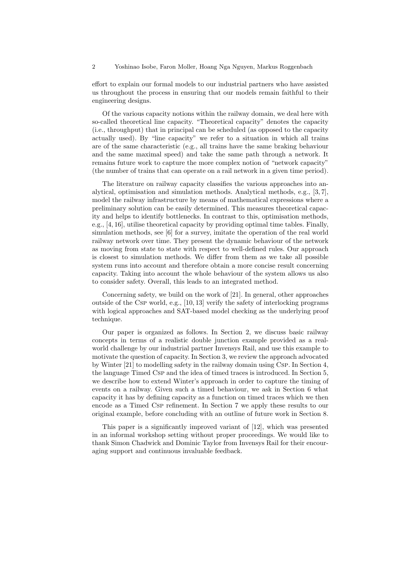effort to explain our formal models to our industrial partners who have assisted us throughout the process in ensuring that our models remain faithful to their engineering designs.

Of the various capacity notions within the railway domain, we deal here with so-called theoretical line capacity. "Theoretical capacity" denotes the capacity (i.e., throughput) that in principal can be scheduled (as opposed to the capacity actually used). By "line capacity" we refer to a situation in which all trains are of the same characteristic (e.g., all trains have the same braking behaviour and the same maximal speed) and take the same path through a network. It remains future work to capture the more complex notion of "network capacity" (the number of trains that can operate on a rail network in a given time period).

The literature on railway capacity classifies the various approaches into analytical, optimisation and simulation methods. Analytical methods, e.g., [3, 7], model the railway infrastructure by means of mathematical expressions where a preliminary solution can be easily determined. This measures theoretical capacity and helps to identify bottlenecks. In contrast to this, optimisation methods, e.g., [4, 16], utilise theoretical capacity by providing optimal time tables. Finally, simulation methods, see [6] for a survey, imitate the operation of the real world railway network over time. They present the dynamic behaviour of the network as moving from state to state with respect to well-defined rules. Our approach is closest to simulation methods. We differ from them as we take all possible system runs into account and therefore obtain a more concise result concerning capacity. Taking into account the whole behaviour of the system allows us also to consider safety. Overall, this leads to an integrated method.

Concerning safety, we build on the work of [21]. In general, other approaches outside of the Csp world, e.g., [10, 13] verify the safety of interlocking programs with logical approaches and SAT-based model checking as the underlying proof technique.

Our paper is organized as follows. In Section 2, we discuss basic railway concepts in terms of a realistic double junction example provided as a realworld challenge by our industrial partner Invensys Rail, and use this example to motivate the question of capacity. In Section 3, we review the approach advocated by Winter [21] to modelling safety in the railway domain using Csp. In Section 4, the language Timed Csp and the idea of timed traces is introduced. In Section 5, we describe how to extend Winter's approach in order to capture the timing of events on a railway. Given such a timed behaviour, we ask in Section 6 what capacity it has by defining capacity as a function on timed traces which we then encode as a Timed Csp refinement. In Section 7 we apply these results to our original example, before concluding with an outline of future work in Section 8.

This paper is a significantly improved variant of [12], which was presented in an informal workshop setting without proper proceedings. We would like to thank Simon Chadwick and Dominic Taylor from Invensys Rail for their encouraging support and continuous invaluable feedback.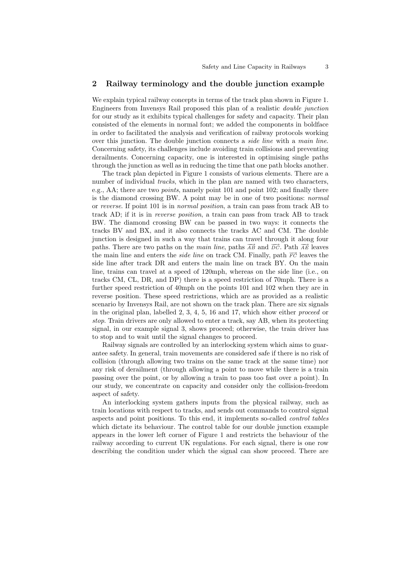#### 2 Railway terminology and the double junction example

We explain typical railway concepts in terms of the track plan shown in Figure 1. Engineers from Invensys Rail proposed this plan of a realistic double junction for our study as it exhibits typical challenges for safety and capacity. Their plan consisted of the elements in normal font; we added the components in boldface in order to facilitated the analysis and verification of railway protocols working over this junction. The double junction connects a *side line* with a *main line*. Concerning safety, its challenges include avoiding train collisions and preventing derailments. Concerning capacity, one is interested in optimising single paths through the junction as well as in reducing the time that one path blocks another.

The track plan depicted in Figure 1 consists of various elements. There are a number of individual *tracks*, which in the plan are named with two characters, e.g., AA; there are two points, namely point 101 and point 102; and finally there is the diamond crossing BW. A point may be in one of two positions: normal or reverse. If point 101 is in normal position, a train can pass from track AB to track AD; if it is in reverse position, a train can pass from track AB to track BW. The diamond crossing BW can be passed in two ways: it connects the tracks BV and BX, and it also connects the tracks AC and CM. The double junction is designed in such a way that trains can travel through it along four paths. There are two paths on the main line, paths  $\overrightarrow{AB}$  and  $\overrightarrow{DC}$ . Path  $\overrightarrow{AE}$  leaves the main line and enters the *side line* on track CM. Finally, path  $\overrightarrow{FC}$  leaves the side line after track DR and enters the main line on track BY. On the main line, trains can travel at a speed of 120mph, whereas on the side line (i.e., on tracks CM, CL, DR, and DP) there is a speed restriction of 70mph. There is a further speed restriction of 40mph on the points 101 and 102 when they are in reverse position. These speed restrictions, which are as provided as a realistic scenario by Invensys Rail, are not shown on the track plan. There are six signals in the original plan, labelled 2, 3, 4, 5, 16 and 17, which show either proceed or stop. Train drivers are only allowed to enter a track, say AB, when its protecting signal, in our example signal 3, shows proceed; otherwise, the train driver has to stop and to wait until the signal changes to proceed.

Railway signals are controlled by an interlocking system which aims to guarantee safety. In general, train movements are considered safe if there is no risk of collision (through allowing two trains on the same track at the same time) nor any risk of derailment (through allowing a point to move while there is a train passing over the point, or by allowing a train to pass too fast over a point). In our study, we concentrate on capacity and consider only the collision-freedom aspect of safety.

An interlocking system gathers inputs from the physical railway, such as train locations with respect to tracks, and sends out commands to control signal aspects and point positions. To this end, it implements so-called control tables which dictate its behaviour. The control table for our double junction example appears in the lower left corner of Figure 1 and restricts the behaviour of the railway according to current UK regulations. For each signal, there is one row describing the condition under which the signal can show proceed. There are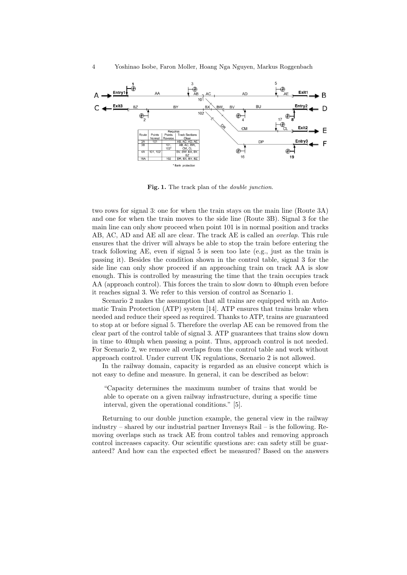

Fig. 1. The track plan of the *double junction*.

two rows for signal 3: one for when the train stays on the main line (Route 3A) and one for when the train moves to the side line (Route 3B). Signal 3 for the main line can only show proceed when point 101 is in normal position and tracks AB, AC, AD and AE all are clear. The track AE is called an overlap. This rule ensures that the driver will always be able to stop the train before entering the track following AE, even if signal 5 is seen too late (e.g., just as the train is passing it). Besides the condition shown in the control table, signal 3 for the side line can only show proceed if an approaching train on track AA is slow enough. This is controlled by measuring the time that the train occupies track AA (approach control). This forces the train to slow down to 40mph even before it reaches signal 3. We refer to this version of control as Scenario 1.

Scenario 2 makes the assumption that all trains are equipped with an Automatic Train Protection (ATP) system [14]. ATP ensures that trains brake when needed and reduce their speed as required. Thanks to ATP, trains are guaranteed to stop at or before signal 5. Therefore the overlap AE can be removed from the clear part of the control table of signal 3. ATP guarantees that trains slow down in time to 40mph when passing a point. Thus, approach control is not needed. For Scenario 2, we remove all overlaps from the control table and work without approach control. Under current UK regulations, Scenario 2 is not allowed.

In the railway domain, capacity is regarded as an elusive concept which is not easy to define and measure. In general, it can be described as below:

"Capacity determines the maximum number of trains that would be able to operate on a given railway infrastructure, during a specific time interval, given the operational conditions." [5].

Returning to our double junction example, the general view in the railway industry – shared by our industrial partner Invensys Rail – is the following. Removing overlaps such as track AE from control tables and removing approach control increases capacity. Our scientific questions are: can safety still be guaranteed? And how can the expected effect be measured? Based on the answers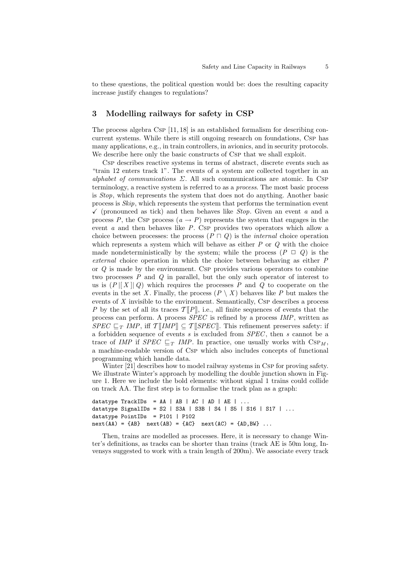to these questions, the political question would be: does the resulting capacity increase justify changes to regulations?

## 3 Modelling railways for safety in CSP

The process algebra Csp [11, 18] is an established formalism for describing concurrent systems. While there is still ongoing research on foundations, Csp has many applications, e.g., in train controllers, in avionics, and in security protocols. We describe here only the basic constructs of Csp that we shall exploit.

Csp describes reactive systems in terms of abstract, discrete events such as "train 12 enters track 1". The events of a system are collected together in an alphabet of communications  $\Sigma$ . All such communications are atomic. In Csp terminology, a reactive system is referred to as a process. The most basic process is Stop, which represents the system that does not do anything. Another basic process is Skip, which represents the system that performs the termination event  $\checkmark$  (pronounced as tick) and then behaves like Stop. Given an event a and a process P, the Csp process  $(a \rightarrow P)$  represents the system that engages in the event  $a$  and then behaves like  $P$ . Csp provides two operators which allow a choice between processes: the process  $(P \sqcap Q)$  is the *internal* choice operation which represents a system which will behave as either  $P$  or  $Q$  with the choice made nondeterministically by the system; while the process  $(P \square Q)$  is the external choice operation in which the choice between behaving as either P or  $Q$  is made by the environment. CsP provides various operators to combine two processes  $P$  and  $Q$  in parallel, but the only such operator of interest to us is  $(P||X||Q)$  which requires the processes P and Q to cooperate on the events in the set X. Finally, the process  $(P \setminus X)$  behaves like P but makes the events of  $X$  invisible to the environment. Semantically, Csp describes a process P by the set of all its traces  $\mathcal{T}[[P]]$ , i.e., all finite sequences of events that the process can perform. A process SPEC is refined by a process IMP, written as  $SPEC \sqsubseteq_T IMP$ , iff  $\mathcal{T}[[M] \subseteq \mathcal{T}[[SPEC]]$ . This refinement preserves safety: if a forbidden sequence of events s is excluded from SPEC , then s cannot be a trace of IMP if SPEC  $\sqsubseteq_T$  IMP. In practice, one usually works with  $Csp_M$ , a machine-readable version of Csp which also includes concepts of functional programming which handle data.

Winter [21] describes how to model railway systems in Csp for proving safety. We illustrate Winter's approach by modelling the double junction shown in Figure 1. Here we include the bold elements: without signal 1 trains could collide on track AA. The first step is to formalise the track plan as a graph:

```
datatype TrackIDs = AA | AB | AC | AD | AE | ...datatype SignalIDs = S2 | S3A | S3B | S4 | S5 | S16 | S17 | ...
datatype PointIDs = P101 | P102
next(AA) = {AB} next(AB) = {AC} next(AC) = {AD, BW} ...
```
Then, trains are modelled as processes. Here, it is necessary to change Winter's definitions, as tracks can be shorter than trains (track AE is 50m long, Invensys suggested to work with a train length of 200m). We associate every track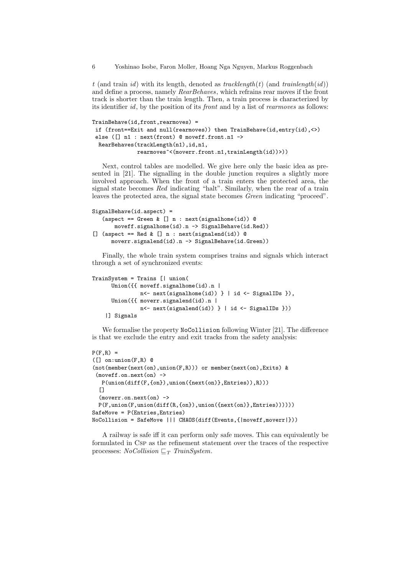t (and train id) with its length, denoted as tracklength(t) (and trainlength(id)) and define a process, namely *RearBehaves*, which refrains rear moves if the front track is shorter than the train length. Then, a train process is characterized by its identifier id, by the position of its front and by a list of rearmoves as follows:

```
TrainBehave(id,front,rearmoves) =
if (front==Exit and null(rearmoves)) then TrainBehave(id,entry(id),<>)
else ([] n1 : next(front) @ moveff.front.n1 ->
 RearBehaves(trackLength(n1),id,n1,
             rearmoves^<(moverr.front.n1,trainLength(id))>))
```
Next, control tables are modelled. We give here only the basic idea as presented in [21]. The signalling in the double junction requires a slightly more involved approach. When the front of a train enters the protected area, the signal state becomes Red indicating "halt". Similarly, when the rear of a train leaves the protected area, the signal state becomes Green indicating "proceed".

```
SignalBehave(id.aspect) =
   (\text{aspect} == \text{Green} \& [] n : \text{next}(\text{signalhome}(id)) \&moveff.signalhome(id).n -> SignalBehave(id.Red))
[] (aspect == Red & [] n : next(signalend(id)) @
      moverr.signalend(id).n -> SignalBehave(id.Green))
```
Finally, the whole train system comprises trains and signals which interact through a set of synchronized events:

```
TrainSystem = Trains [| union(
      Union({{ moveff.signalhome(id).n |
              n<- next(signalhome(id)) } | id <- SignalIDs }),
      Union({{ moverr.signalend(id).n |
               n<- next(signalend(id)) } | id <- SignalIDs }))
    |] Signals
```
We formalise the property NoCollision following Winter [21]. The difference is that we exclude the entry and exit tracks from the safety analysis:

```
P(F,R) =
([] on:union(F,R) @
(not(member(next(on),union(F,R))) or member(next(on),Exits) &
 (moveff.on.next(on) ->
  P(union(diff(F,{on}),union({next(on)},Entries)),R)))
  []
  (moverr.on.next(on) ->
 P(F,union(F,union(diff(R,{on}),union({next(on)},Entries))))))
SafeMove = P(Entries,Entries)
NoCollision = SafeMove ||| CHAOS(diff(Events,{|moveff,moverr|}))
```
A railway is safe iff it can perform only safe moves. This can equivalently be formulated in Csp as the refinement statement over the traces of the respective processes:  $NoCollision \sqsubseteq_T TrianSystem$ .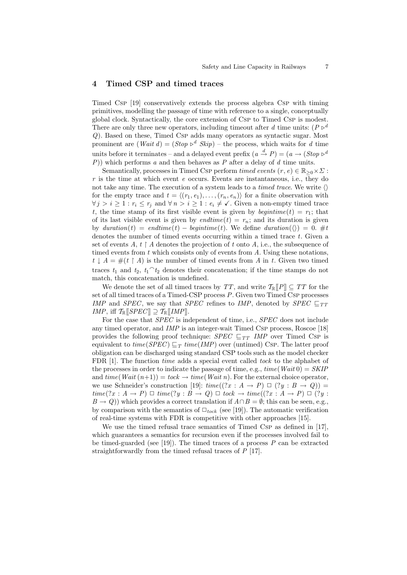# 4 Timed CSP and timed traces

Timed Csp [19] conservatively extends the process algebra Csp with timing primitives, modelling the passage of time with reference to a single, conceptually global clock. Syntactically, the core extension of Csp to Timed Csp is modest. There are only three new operators, including timeout after d time units:  $(P \triangleright^d)$ Q). Based on these, Timed Csp adds many operators as syntactic sugar. Most prominent are  $(Wait d) = (Stop \triangleright^d Skip) - the process, which waits for d time$ units before it terminates – and a delayed event prefix  $(a \stackrel{d}{\rightarrow} P) = (a \rightarrow (Stop \triangleright^d$  $(P)$ ) which performs a and then behaves as P after a delay of d time units.

Semantically, processes in Timed Csp perform timed events  $(r, e) \in \mathbb{R}_{\geq 0} \times \Sigma$ :  $r$  is the time at which event  $e$  occurs. Events are instantaneous, i.e., they do not take any time. The execution of a system leads to a *timed trace*. We write  $\langle \rangle$ for the empty trace and  $t = \langle (r_1, e_1), \ldots, (r_n, e_n) \rangle$  for a finite observation with  $\forall j > i \geq 1 : r_i \leq r_j \text{ and } \forall n > i \geq 1 : e_i \neq \checkmark$ . Given a non-empty timed trace t, the time stamp of its first visible event is given by *begintime*(t) =  $r_1$ ; that of its last visible event is given by endtime(t) =  $r_n$ ; and its duration is given by duration(t) = endtime(t) – begintime(t). We define duration( $\langle \rangle$ ) = 0. #t denotes the number of timed events occurring within a timed trace  $t$ . Given a set of events A,  $t \upharpoonright A$  denotes the projection of t onto A, i.e., the subsequence of timed events from  $t$  which consists only of events from  $A$ . Using these notations,  $t \downarrow A = \#(t \upharpoonright A)$  is the number of timed events from A in t. Given two timed traces  $t_1$  and  $t_2$ ,  $t_1$   $\sim t_2$  denotes their concatenation; if the time stamps do not match, this concatenation is undefined.

We denote the set of all timed traces by TT, and write  $\mathcal{T}_{\mathbb{R}}[P] \subseteq TT$  for the set of all timed traces of a Timed-CSP process P. Given two Timed CsP processes IMP and SPEC, we say that SPEC refines to IMP, denoted by SPEC  $\sqsubseteq_{TT}$ *IMP*, iff  $\mathcal{T}_{\mathbb{R}}[[SPEC]] \supseteq \mathcal{T}_{\mathbb{R}}[[IMP]].$ 

For the case that SPEC is independent of time, i.e., SPEC does not include any timed operator, and IMP is an integer-wait Timed Csp process, Roscoe [18] provides the following proof technique:  $SPEC \sqsubseteq_{TT} IMP$  over Timed Csp is equivalent to  $time(SPEC) \sqsubseteq_T time(IMP)$  over (untimed) Csp. The latter proof obligation can be discharged using standard CSP tools such as the model checker FDR [1]. The function *time* adds a special event called *tock* to the alphabet of the processes in order to indicate the passage of time, e.g.,  $time(Wait 0) = SKIP$ and  $time(Wait(n+1)) = tock \rightarrow time(Wait n)$ . For the external choice operator, we use Schneider's construction [19]:  $time((?x : A \rightarrow P) \square (?y : B \rightarrow Q))$  =  $time(?x : A \rightarrow P) \square time(?y : B \rightarrow Q) \square tock \rightarrow time((?x : A \rightarrow P) \square (?y : B \rightarrow Q))$  $B \to Q$ )) which provides a correct translation if  $A \cap B = \emptyset$ ; this can be seen, e.g., by comparison with the semantics of  $\Box_{tock}$  (see [19]). The automatic verification of real-time systems with FDR is competitive with other approaches [15].

We use the timed refusal trace semantics of Timed Csp as defined in [17], which guarantees a semantics for recursion even if the processes involved fail to be timed-guarded (see [19]). The timed traces of a process  $P$  can be extracted straightforwardly from the timed refusal traces of  $P$  [17].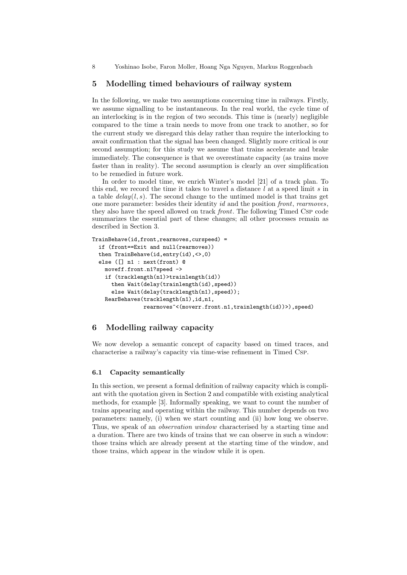8 Yoshinao Isobe, Faron Moller, Hoang Nga Nguyen, Markus Roggenbach

# 5 Modelling timed behaviours of railway system

In the following, we make two assumptions concerning time in railways. Firstly, we assume signalling to be instantaneous. In the real world, the cycle time of an interlocking is in the region of two seconds. This time is (nearly) negligible compared to the time a train needs to move from one track to another, so for the current study we disregard this delay rather than require the interlocking to await confirmation that the signal has been changed. Slightly more critical is our second assumption; for this study we assume that trains accelerate and brake immediately. The consequence is that we overestimate capacity (as trains move faster than in reality). The second assumption is clearly an over simplification to be remedied in future work.

In order to model time, we enrich Winter's model [21] of a track plan. To this end, we record the time it takes to travel a distance  $l$  at a speed limit  $s$  in a table  $delay(l, s)$ . The second change to the untimed model is that trains get one more parameter: besides their identity id and the position front, rearmoves, they also have the speed allowed on track front. The following Timed Csp code summarizes the essential part of these changes; all other processes remain as described in Section 3.

```
TrainBehave(id,front,rearmoves,curspeed) =
 if (front==Exit and null(rearmoves))
 then TrainBehave(id,entry(id),<>,0)
 else ([] n1 : next(front) @
   moveff.front.n1?speed ->
   if (tracklength(n1)>trainlength(id))
     then Wait(delay(trainlength(id),speed))
      else Wait(delay(tracklength(n1), speed));
   RearBehaves(tracklength(n1),id,n1,
               rearmoves^<(moverr.front.n1,trainlength(id))>),speed)
```
# 6 Modelling railway capacity

We now develop a semantic concept of capacity based on timed traces, and characterise a railway's capacity via time-wise refinement in Timed Csp.

#### 6.1 Capacity semantically

In this section, we present a formal definition of railway capacity which is compliant with the quotation given in Section 2 and compatible with existing analytical methods, for example [3]. Informally speaking, we want to count the number of trains appearing and operating within the railway. This number depends on two parameters: namely, (i) when we start counting and (ii) how long we observe. Thus, we speak of an *observation window* characterised by a starting time and a duration. There are two kinds of trains that we can observe in such a window: those trains which are already present at the starting time of the window, and those trains, which appear in the window while it is open.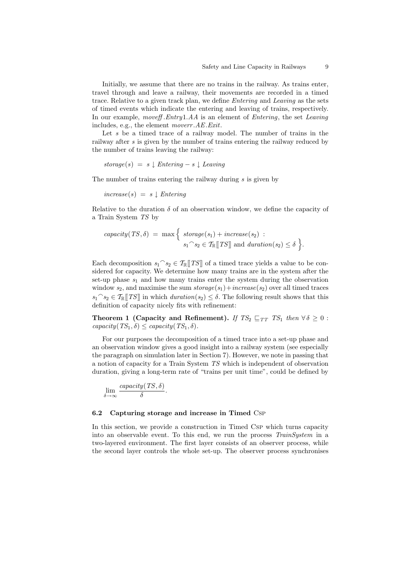Initially, we assume that there are no trains in the railway. As trains enter, travel through and leave a railway, their movements are recorded in a timed trace. Relative to a given track plan, we define Entering and Leaving as the sets of timed events which indicate the entering and leaving of trains, respectively. In our example, moveff.  $Entry1.AA$  is an element of *Entering*, the set *Leaving* includes, e.g., the element moverr .AE.Exit.

Let s be a timed trace of a railway model. The number of trains in the railway after s is given by the number of trains entering the railway reduced by the number of trains leaving the railway:

$$
storage(s) = s \downarrow Enterprise - s \downarrow Leaving
$$

The number of trains entering the railway during s is given by

 $increase(s) = s \downarrow Enterprise$ 

Relative to the duration  $\delta$  of an observation window, we define the capacity of a Train System TS by

$$
capacity(TS, \delta) = \max \Big\{ \: storage(s_1) + increase(s_2) : s_1 \supset s_2 \in T_{\mathbb{R}}[[TS]] \text{ and } duration(s_2) \leq \delta \Big\}.
$$

Each decomposition  $s_1 \hat{ } \ s_2 \in T_{\mathbb{R}}[[TS]]$  of a timed trace yields a value to be considered for capacity. We determine how many trains are in the system after the set-up phase  $s_1$  and how many trains enter the system during the observation window  $s_2$ , and maximise the sum  $storage(s_1) + increase(s_2)$  over all timed traces  $s_1$ <sup> $\sim$ </sup> $s_2 \in \mathcal{T}_{\mathbb{R}}[[TS]]$  in which *duration*( $s_2$ )  $\leq \delta$ . The following result shows that this definition of capacity nicely fits with refinement:

Theorem 1 (Capacity and Refinement). If  $TS_2 \sqsubseteq_{TT} TS_1$  then  $\forall \delta \geq 0$ : capacity(TS<sub>1</sub>,  $\delta$ )  $\leq$  capacity(TS<sub>1</sub>,  $\delta$ ).

For our purposes the decomposition of a timed trace into a set-up phase and an observation window gives a good insight into a railway system (see especially the paragraph on simulation later in Section 7). However, we note in passing that a notion of capacity for a Train System TS which is independent of observation duration, giving a long-term rate of "trains per unit time", could be defined by

$$
\lim_{\delta \to \infty} \frac{capacity(TS, \delta)}{\delta}.
$$

#### 6.2 Capturing storage and increase in Timed Csp

In this section, we provide a construction in Timed Csp which turns capacity into an observable event. To this end, we run the process TrainSystem in a two-layered environment. The first layer consists of an observer process, while the second layer controls the whole set-up. The observer process synchronises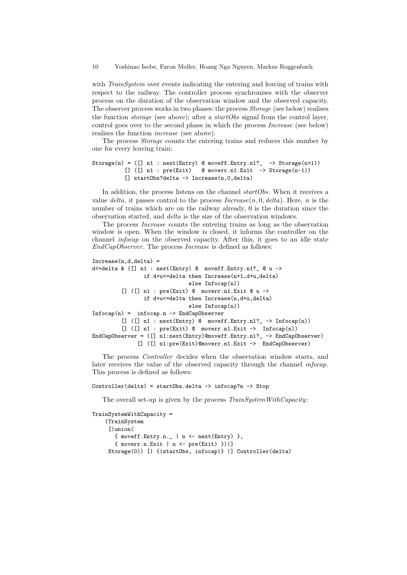10 Yoshinao Isobe, Faron Moller, Hoang Nga Nguyen, Markus Roggenbach

with *TrainSystem* over events indicating the entering and leaving of trains with respect to the railway. The controller process synchronises with the observer process on the duration of the observation window and the observed capacity. The observer process works in two phases: the process Storage (see below) realises the function *storage* (see above); after a *startObs* signal from the control layer, control goes over to the second phase in which the process Increase (see below) realises the function increase (see above).

The process Storage counts the entering trains and reduces this number by one for every leaving train:

```
Storage(n) = ([] n1 : next(Entry) @ moveff.Entry.n1? -> Storage(n+1))
          [] ([] n1 : pre(Exit) @ moverr.n1.Exit -> Storage(n-1))
          [] startObs?delta -> Increase(n,0,delta)
```
In addition, the process listens on the channel  $startObs$ . When it receives a value delta, it passes control to the process  $\text{Increase}(n, 0, \text{delta})$ . Here, n is the number of trains which are on the railway already, 0 is the duration since the observation started, and delta is the size of the observation windows.

The process Increase counts the entering trains as long as the observation window is open. When the window is closed, it informs the controller on the channel infocap on the observed capacity. After this, it goes to an idle state  $EndCapObserver$ . The process *Increase* is defined as follows:

```
Increase(n,d,delta) =d<=delta & ([] n1 : next(Entry) @ moveff.Entry.n1?_ @ u ->
               if d+u<=delta then Increase(n+1,d+u,delta)
                             else Infocap(n))
         [] ([] n1 : pre(Exit) @ moverr.n1.Exit @ u ->
                if d+u<=delta then Increase(n,d+u,delta)
                              else Infocap(n))
Infocap(n) = infocap.n -> EndCapObserver
         [] ([] n1 : next(Entry) @ moveff.Entry.n1?_ -> Infocap(n))
         [] ([] n1 : pre(Exit) @ moverr.n1.Exit -> Infocap(n))
EndCapObserver = ([] n1:next(Entry)@moveff.Entry.n1?_ -> EndCapObserver)
              [] ([] n1:pre(Exit)@moverr.n1.Exit -> EndCapObserver)
```
The process Controller decides when the observation window starts, and later receives the value of the observed capacity through the channel infocap. This process is defined as follows:

Controller(delta) = startObs.delta -> infocap?n -> Stop

The overall set-up is given by the process  $TrainSystemWith Capacity:$ 

```
TrainSystemWithCapacity =
    (TrainSystem
     [|union(
       {> moveff.Entry.n._ | n <- next(Entry) },
       { moverr.n.Exit | n <- pre(Exit) })|]
    Storage(0)) [| {|startObs, infocap|} |] Controller(delta)
```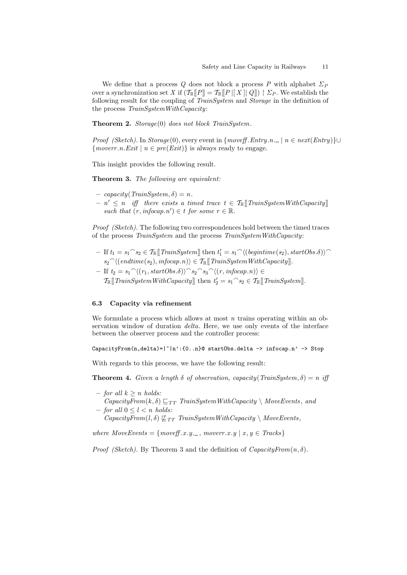We define that a process Q does not block a process P with alphabet  $\Sigma_P$ over a synchronization set X if  $({\mathcal T}_{\mathbb R}[[P]] = {\mathcal T}_{\mathbb R}[[P][X]][Q]]) \restriction {\mathcal Z}_P$ . We establish the following result for the coupling of TrainSystem and Storage in the definition of the process TrainSystemWithCapacity:

**Theorem 2.** Storage $(0)$  does not block TrainSystem.

*Proof (Sketch).* In Storage(0), every event in {moveff. Entry.n.  $\Box$  | n ∈ next(Entry) \U  ${moverr.n}$ . Exit  $| n \in pre(Exit) \}$  is always ready to engage.

This insight provides the following result.

Theorem 3. The following are equivalent:

- $-$  capacity(TrainSystem,  $\delta$ ) = n.
- $n' \leq n$  iff there exists a timed trace  $t \in \mathcal{T}_{\mathbb{R}}[\![\mathit{TrainSystemWithCapacity}]\!]$ such that  $(r, infocap.n') \in t$  for some  $r \in \mathbb{R}$ .

Proof (Sketch). The following two correspondences hold between the timed traces of the process TrainSystem and the process TrainSystemWithCapacity:

- $-$  If  $t_1 = s_1^s s_2 \in \mathcal{T}_{\mathbb{R}}[\![\mathit{TrainSystem}]\!]$  then  $t_1' = s_1^s \setminus \langle \mathit{(beginline}(s_2), \mathit{startObs}.\delta)\rangle}^s$  $s_2 \widehat{\phantom{\alpha}} \backslash (\mathit{endtime}(s_2),\mathit{infocap.n})\rangle \in \mathcal{T}_\mathbb{R}[\![\mathit{TrainSystemWithCapacity}]\!].$
- $-$  If  $t_2 = s_1^{\alpha} \langle (r_1, startObs.\delta) \rangle^{\alpha} s_2^{\alpha} s_3^{\alpha} \langle (r, infocap.n) \rangle \in$  $\mathcal{T}_{\mathbb{R}}[\text{TrainSystemWithCapacity}]\text{ then }t'_{2}=s_{1} \text{ }^{\frown} s_{2} \in \mathcal{T}_{\mathbb{R}}[\text{TrainSystem}].$

# 6.3 Capacity via refinement

We formulate a process which allows at most  $n$  trains operating within an observation window of duration *delta*. Here, we use only events of the interface between the observer process and the controller process:

CapacityFrom(n,delta)= $|~|n':[0..n]$ @ startObs.delta -> infocap.n' -> Stop

With regards to this process, we have the following result:

**Theorem 4.** Given a length  $\delta$  of observation, capacity(TrainSystem,  $\delta$ ) = n iff

 $-$  for all  $k > n$  holds:

 $CapacityFrom(k, \delta) \sqsubseteq_{TT}$  TrainSystemWithCapacity \ MoveEvents, and  $-$  for all  $0 \leq l \leq n$  holds:

 $CapacityFrom (l, \delta) \nsubseteq_{TT} TransystemWith Capacity \setminus MoveEvents,$ 

where  $MoveEvents = \{moveff.x.y...\}$ , moverr  $.x.y \mid x, y \in \text{Tracks}$ 

*Proof (Sketch)*. By Theorem 3 and the definition of  $CapacityFrom(n, \delta)$ .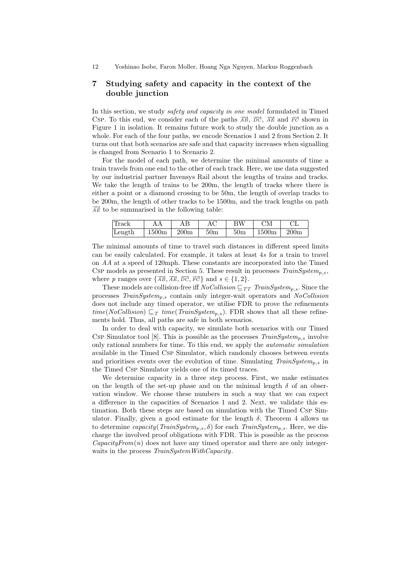12 Yoshinao Isobe, Faron Moller, Hoang Nga Nguyen, Markus Roggenbach

# 7 Studying safety and capacity in the context of the double junction

In this section, we study *safety and capacity in one model* formulated in Timed Csp. To this end, we consider each of the paths  $\overrightarrow{AB}$ ,  $\overrightarrow{DC}$ ,  $\overrightarrow{AE}$  and  $\overrightarrow{FC}$  shown in Figure 1 in isolation. It remains future work to study the double junction as a whole. For each of the four paths, we encode Scenarios 1 and 2 from Section 2. It turns out that both scenarios are safe and that capacity increases when signalling is changed from Scenario 1 to Scenario 2.

For the model of each path, we determine the minimal amounts of time a train travels from one end to the other of each track. Here, we use data suggested by our industrial partner Invensys Rail about the lengths of trains and tracks. We take the length of trains to be 200m, the length of tracks where there is either a point or a diamond crossing to be 50m, the length of overlap tracks to be 200m, the length of other tracks to be 1500m, and the track lengths on path  $\overrightarrow{AE}$  to be summarised in the following table:

| Track  |       | AВ               |                 | $_{\rm BW}$     | CМ           |      |
|--------|-------|------------------|-----------------|-----------------|--------------|------|
| Length | 1500m | 200 <sub>m</sub> | 50 <sub>m</sub> | 50 <sub>m</sub> | $\pm 1500$ m | 200m |

The minimal amounts of time to travel such distances in different speed limits can be easily calculated. For example, it takes at least 4s for a train to travel on AA at a speed of 120mph. These constants are incorporated into the Timed CSP models as presented in Section 5. These result in processes  $TrainSystem_{p,s}$ , where p ranges over  $\{\overrightarrow{AB}, \overrightarrow{AE}, \overrightarrow{DC}, \overrightarrow{FC}\}\$  and  $s \in \{1, 2\}.$ 

These models are collision-free iff  $NoCollision \sqsubseteq_{TT} Transystem_{p,s}$ . Since the processes  $TrainSystem_{p,s}$  contain only integer-wait operators and NoCollision does not include any timed operator, we utilise FDR to prove the refinements  $time(NoCollision) \sqsubseteq_T time(TrainSystem_{p,s})$ . FDR shows that all these refinements hold. Thus, all paths are safe in both scenarios.

In order to deal with capacity, we simulate both scenarios with our Timed CSP Simulator tool [8]. This is possible as the processes  $TrainSystem_{n,s}$  involve only rational numbers for time. To this end, we apply the automatic simulation available in the Timed Csp Simulator, which randomly chooses between events and prioritises events over the evolution of time. Simulating  $TrainSystem_{n,s}$  in the Timed Csp Simulator yields one of its timed traces.

We determine capacity in a three step process. First, we make estimates on the length of the set-up phase and on the minimal length  $\delta$  of an observation window. We choose these numbers in such a way that we can expect a difference in the capacities of Scenarios 1 and 2. Next, we validate this estimation. Both these steps are based on simulation with the Timed Csp Simulator. Finally, given a good estimate for the length  $\delta$ , Theorem 4 allows us to determine capacity( $TrainSystem_{p,s}, \delta$ ) for each  $TrainSystem_{p,s}$ . Here, we discharge the involved proof obligations with FDR. This is possible as the process  $CapacityFrom(n)$  does not have any timed operator and there are only integerwaits in the process  $TrainSystemWith Capacity$ .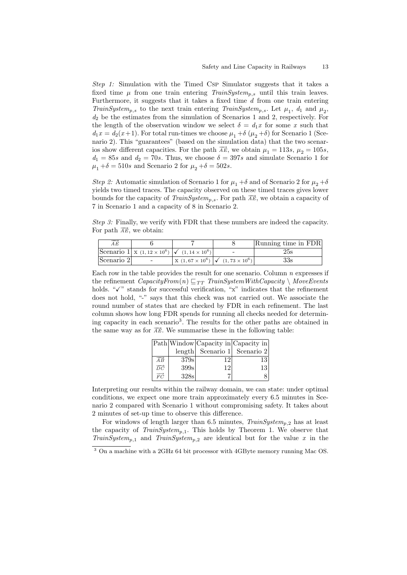Step 1: Simulation with the Timed Csp Simulator suggests that it takes a fixed time  $\mu$  from one train entering  $TrainSystem_{p,s}$  until this train leaves. Furthermore, it suggests that it takes a fixed time  $d$  from one train entering  $TrainSystem_{p,s}$  to the next train entering  $TrainSystem_{p,s}$ . Let  $\mu_1$ ,  $d_1$  and  $\mu_2$ ,  $d_2$  be the estimates from the simulation of Scenarios 1 and 2, respectively. For the length of the observation window we select  $\delta = d_1x$  for some x such that  $d_1x = d_2(x+1)$ . For total run-times we choose  $\mu_1 + \delta (\mu_2 + \delta)$  for Scenario 1 (Scenario 2). This "guarantees" (based on the simulation data) that the two scenarios show different capacities. For the path  $\overrightarrow{AE}$ , we obtain  $\mu_1 = 113s$ ,  $\mu_2 = 105s$ ,  $d_1 = 85s$  and  $d_2 = 70s$ . Thus, we choose  $\delta = 397s$  and simulate Scenario 1 for  $\mu_1 + \delta = 510s$  and Scenario 2 for  $\mu_2 + \delta = 502s$ .

Step 2: Automatic simulation of Scenario 1 for  $\mu_1 + \delta$  and of Scenario 2 for  $\mu_2 + \delta$ yields two timed traces. The capacity observed on these timed traces gives lower bounds for the capacity of  $TrainSystem_{p,s}$ . For path  $\overrightarrow{AE}$ , we obtain a capacity of 7 in Scenario 1 and a capacity of 8 in Scenario 2.

Step 3: Finally, we verify with FDR that these numbers are indeed the capacity. For path  $\overrightarrow{AE}$ , we obtain:

| АÉ         |                                                                   |                                                               | Running time in FDR |
|------------|-------------------------------------------------------------------|---------------------------------------------------------------|---------------------|
|            | Scenario 1   x $(1, 12 \times 10^6)$ $\sqrt{(1, 14 \times 10^6)}$ |                                                               | $25\mathrm{s}$      |
| Scenario 2 |                                                                   | $\mid X(1,67\times10^6) \mid \checkmark(1,73\times10^6) \mid$ | $33\mathrm{s}$      |

Each row in the table provides the result for one scenario. Column  $n$  expresses if the refinement  $CapacityFrom(n) \sqsubseteq_{TT} TrainSystemWith Capacity \setminus MoveEvents$ holds. " $\checkmark$ " stands for successful verification, "x" indicates that the refinement does not hold, "-" says that this check was not carried out. We associate the round number of states that are checked by FDR in each refinement. The last column shows how long FDR spends for running all checks needed for determining capacity in each scenario<sup>3</sup> . The results for the other paths are obtained in the same way as for  $\overrightarrow{AE}$ . We summarise these in the following table:

|                       |      | Path Window Capacity in Capacity in |    |
|-----------------------|------|-------------------------------------|----|
|                       |      | length Scenario 1 Scenario 2        |    |
| $\overline{AB}$       | 379s |                                     | 13 |
| $\overrightarrow{DC}$ | 399s | 12                                  | 13 |
| $\overrightarrow{FC}$ | 328s |                                     |    |

Interpreting our results within the railway domain, we can state: under optimal conditions, we expect one more train approximately every 6.5 minutes in Scenario 2 compared with Scenario 1 without compromising safety. It takes about 2 minutes of set-up time to observe this difference.

For windows of length larger than 6.5 minutes,  $TrainSystem_{p,2}$  has at least the capacity of  $TrainSystem_{p,1}$ . This holds by Theorem 1. We observe that  $TrainSystem_{p,1}$  and  $TrainSystem_{p,2}$  are identical but for the value x in the

 $^3$  On a machine with a 2GHz 64 bit processor with 4GByte memory running Mac OS.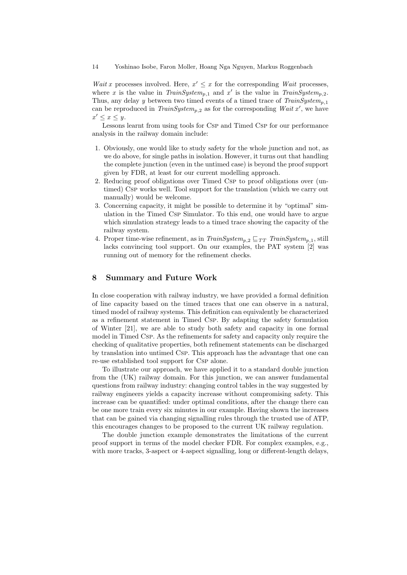*Wait x* processes involved. Here,  $x' \leq x$  for the corresponding *Wait* processes, where x is the value in  $TrainSystem_{p,1}$  and x' is the value in  $TrainSystem_{p,2}$ . Thus, any delay y between two timed events of a timed trace of  $TrainSystem_{p,1}$ can be reproduced in  $TrainSystem_{p,2}$  as for the corresponding Wait x', we have  $x' \leq x \leq y$ .

Lessons learnt from using tools for Csp and Timed Csp for our performance analysis in the railway domain include:

- 1. Obviously, one would like to study safety for the whole junction and not, as we do above, for single paths in isolation. However, it turns out that handling the complete junction (even in the untimed case) is beyond the proof support given by FDR, at least for our current modelling approach.
- 2. Reducing proof obligations over Timed Csp to proof obligations over (untimed) Csp works well. Tool support for the translation (which we carry out manually) would be welcome.
- 3. Concerning capacity, it might be possible to determine it by "optimal" simulation in the Timed Csp Simulator. To this end, one would have to argue which simulation strategy leads to a timed trace showing the capacity of the railway system.
- 4. Proper time-wise refinement, as in  $TrainSystem_{p,2} \sqsubseteq_{TT} TrainSystem_{p,1}$ , still lacks convincing tool support. On our examples, the PAT system [2] was running out of memory for the refinement checks.

# 8 Summary and Future Work

In close cooperation with railway industry, we have provided a formal definition of line capacity based on the timed traces that one can observe in a natural, timed model of railway systems. This definition can equivalently be characterized as a refinement statement in Timed Csp. By adapting the safety formulation of Winter [21], we are able to study both safety and capacity in one formal model in Timed Csp. As the refinements for safety and capacity only require the checking of qualitative properties, both refinement statements can be discharged by translation into untimed Csp. This approach has the advantage that one can re-use established tool support for Csp alone.

To illustrate our approach, we have applied it to a standard double junction from the (UK) railway domain. For this junction, we can answer fundamental questions from railway industry: changing control tables in the way suggested by railway engineers yields a capacity increase without compromising safety. This increase can be quantified: under optimal conditions, after the change there can be one more train every six minutes in our example. Having shown the increases that can be gained via changing signalling rules through the trusted use of ATP, this encourages changes to be proposed to the current UK railway regulation.

The double junction example demonstrates the limitations of the current proof support in terms of the model checker FDR. For complex examples, e.g., with more tracks, 3-aspect or 4-aspect signalling, long or different-length delays,